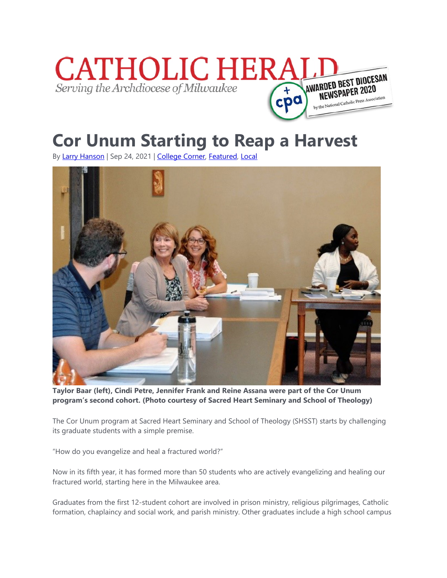

## **Cor Unum Starting to Reap a Harvest**

By [Larry Hanson](https://catholicherald.org/author/larry-hanson/) | Sep 24, 2021 | [College Corner,](https://catholicherald.org/category/news/schools/college-corner/) [Featured,](https://catholicherald.org/category/featured/) [Local](https://catholicherald.org/category/local/)



**Taylor Baar (left), Cindi Petre, Jennifer Frank and Reine Assana were part of the Cor Unum program's second cohort. (Photo courtesy of Sacred Heart Seminary and School of Theology)**

The Cor Unum program at Sacred Heart Seminary and School of Theology (SHSST) starts by challenging its graduate students with a simple premise.

"How do you evangelize and heal a fractured world?"

Now in its fifth year, it has formed more than 50 students who are actively evangelizing and healing our fractured world, starting here in the Milwaukee area.

Graduates from the first 12-student cohort are involved in prison ministry, religious pilgrimages, Catholic formation, chaplaincy and social work, and parish ministry. Other graduates include a high school campus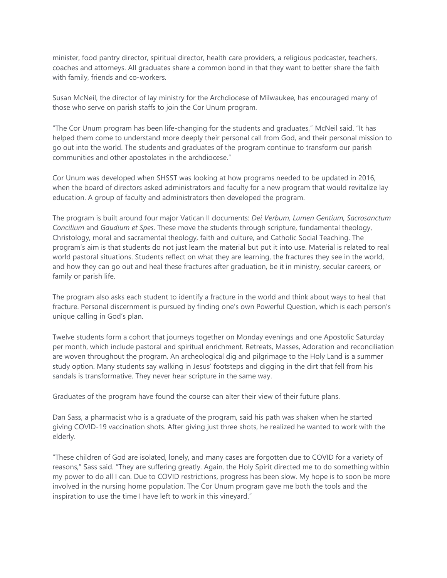minister, food pantry director, spiritual director, health care providers, a religious podcaster, teachers, coaches and attorneys. All graduates share a common bond in that they want to better share the faith with family, friends and co-workers.

Susan McNeil, the director of lay ministry for the Archdiocese of Milwaukee, has encouraged many of those who serve on parish staffs to join the Cor Unum program.

"The Cor Unum program has been life-changing for the students and graduates," McNeil said. "It has helped them come to understand more deeply their personal call from God, and their personal mission to go out into the world. The students and graduates of the program continue to transform our parish communities and other apostolates in the archdiocese."

Cor Unum was developed when SHSST was looking at how programs needed to be updated in 2016, when the board of directors asked administrators and faculty for a new program that would revitalize lay education. A group of faculty and administrators then developed the program.

The program is built around four major Vatican II documents: *Dei Verbum, Lumen Gentium, Sacrosanctum Concilium* and *Gaudium et Spes*. These move the students through scripture, fundamental theology, Christology, moral and sacramental theology, faith and culture, and Catholic Social Teaching. The program's aim is that students do not just learn the material but put it into use. Material is related to real world pastoral situations. Students reflect on what they are learning, the fractures they see in the world, and how they can go out and heal these fractures after graduation, be it in ministry, secular careers, or family or parish life.

The program also asks each student to identify a fracture in the world and think about ways to heal that fracture. Personal discernment is pursued by finding one's own Powerful Question, which is each person's unique calling in God's plan.

Twelve students form a cohort that journeys together on Monday evenings and one Apostolic Saturday per month, which include pastoral and spiritual enrichment. Retreats, Masses, Adoration and reconciliation are woven throughout the program. An archeological dig and pilgrimage to the Holy Land is a summer study option. Many students say walking in Jesus' footsteps and digging in the dirt that fell from his sandals is transformative. They never hear scripture in the same way.

Graduates of the program have found the course can alter their view of their future plans.

Dan Sass, a pharmacist who is a graduate of the program, said his path was shaken when he started giving COVID-19 vaccination shots. After giving just three shots, he realized he wanted to work with the elderly.

"These children of God are isolated, lonely, and many cases are forgotten due to COVID for a variety of reasons," Sass said. "They are suffering greatly. Again, the Holy Spirit directed me to do something within my power to do all I can. Due to COVID restrictions, progress has been slow. My hope is to soon be more involved in the nursing home population. The Cor Unum program gave me both the tools and the inspiration to use the time I have left to work in this vineyard."